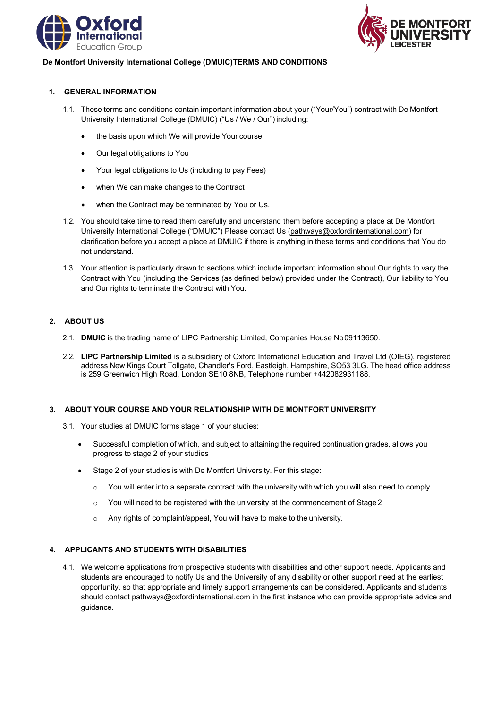



### **De Montfort University International College (DMUIC)TERMS AND CONDITIONS**

### **1. GENERAL INFORMATION**

- 1.1. These terms and conditions contain important information about your ("Your/You") contract with De Montfort University International College (DMUIC) ("Us / We / Our") including:
	- the basis upon which We will provide Your course
	- Our legal obligations to You
	- Your legal obligations to Us (including to pay Fees)
	- when We can make changes to the Contract
	- when the Contract may be terminated by You or Us.
- 1.2. You should take time to read them carefully and understand them before accepting a place at De Montfort University International College ("DMUIC") Please contact Us [\(pathways@oxfordinternational.com\)](mailto:pathways@oxfordinternational.com) for clarification before you accept a place at DMUIC if there is anything in these terms and conditions that You do not understand.
- 1.3. Your attention is particularly drawn to sections which include important information about Our rights to vary the Contract with You (including the Services (as defined below) provided under the Contract), Our liability to You and Our rights to terminate the Contract with You.

# **2. ABOUT US**

- 2.1. **DMUIC** is the trading name of LIPC Partnership Limited, Companies House No09113650.
- 2.2. **LIPC Partnership Limited** is a subsidiary of Oxford International Education and Travel Ltd (OIEG), registered address New Kings Court Tollgate, Chandler's Ford, Eastleigh, Hampshire, SO53 3LG. The head office address is 259 Greenwich High Road, London SE10 8NB, Telephone number +442082931188.

# **3. ABOUT YOUR COURSE AND YOUR RELATIONSHIP WITH DE MONTFORT UNIVERSITY**

- 3.1. Your studies at DMUIC forms stage 1 of your studies:
	- Successful completion of which, and subject to attaining the required continuation grades, allows you progress to stage 2 of your studies
	- Stage 2 of your studies is with De Montfort University. For this stage:
		- $\circ$  You will enter into a separate contract with the university with which you will also need to comply
		- $\circ$  You will need to be registered with the university at the commencement of Stage 2
		- o Any rights of complaint/appeal, You will have to make to the university.

# **4. APPLICANTS AND STUDENTS WITH DISABILITIES**

4.1. We welcome applications from prospective students with disabilities and other support needs. Applicants and students are encouraged to notify Us and the University of any disability or other support need at the earliest opportunity, so that appropriate and timely support arrangements can be considered. Applicants and students should contact [pathways@oxfordinternational.com in](mailto:pathways@oxfordinternational.com) the first instance who can provide appropriate advice and guidance.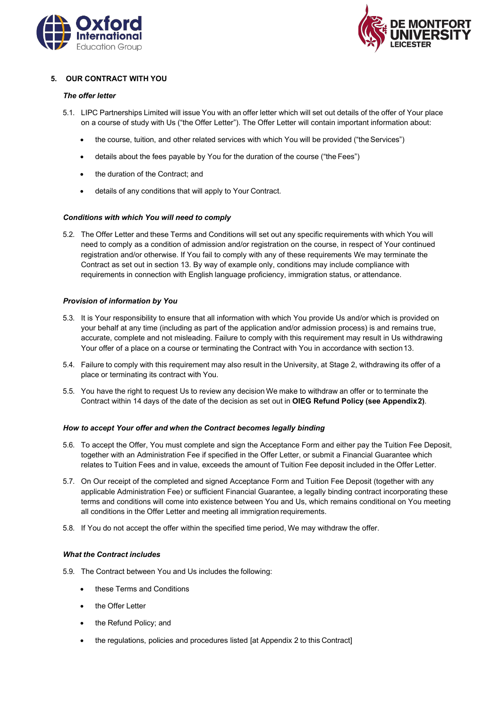



# **5. OUR CONTRACT WITH YOU**

#### *The offer letter*

- 5.1. LIPC Partnerships Limited will issue You with an offer letter which will set out details of the offer of Your place on a course of study with Us ("the Offer Letter"). The Offer Letter will contain important information about:
	- the course, tuition, and other related services with which You will be provided ("the Services")
	- details about the fees payable by You for the duration of the course ("the Fees")
	- the duration of the Contract; and
	- details of any conditions that will apply to Your Contract.

### *Conditions with which You will need to comply*

5.2. The Offer Letter and these Terms and Conditions will set out any specific requirements with which You will need to comply as a condition of admission and/or registration on the course, in respect of Your continued registration and/or otherwise. If You fail to comply with any of these requirements We may terminate the Contract as set out in section 13. By way of example only, conditions may include compliance with requirements in connection with English language proficiency, immigration status, or attendance.

### *Provision of information by You*

- 5.3. It is Your responsibility to ensure that all information with which You provide Us and/or which is provided on your behalf at any time (including as part of the application and/or admission process) is and remains true, accurate, complete and not misleading. Failure to comply with this requirement may result in Us withdrawing Your offer of a place on a course or terminating the Contract with You in accordance with section13.
- 5.4. Failure to comply with this requirement may also result in the University, at Stage 2, withdrawing its offer of a place or terminating its contract with You.
- 5.5. You have the right to request Us to review any decision We make to withdraw an offer or to terminate the Contract within 14 days of the date of the decision as set out in **OIEG Refund Policy (see Appendix2)**.

#### *How to accept Your offer and when the Contract becomes legally binding*

- 5.6. To accept the Offer, You must complete and sign the Acceptance Form and either pay the Tuition Fee Deposit, together with an Administration Fee if specified in the Offer Letter, or submit a Financial Guarantee which relates to Tuition Fees and in value, exceeds the amount of Tuition Fee deposit included in the Offer Letter.
- 5.7. On Our receipt of the completed and signed Acceptance Form and Tuition Fee Deposit (together with any applicable Administration Fee) or sufficient Financial Guarantee, a legally binding contract incorporating these terms and conditions will come into existence between You and Us, which remains conditional on You meeting all conditions in the Offer Letter and meeting all immigration requirements.
- 5.8. If You do not accept the offer within the specified time period, We may withdraw the offer.

#### *What the Contract includes*

- 5.9. The Contract between You and Us includes the following:
	- these Terms and Conditions
	- the Offer Letter
	- the Refund Policy; and
	- the regulations, policies and procedures listed [at Appendix 2 to this Contract]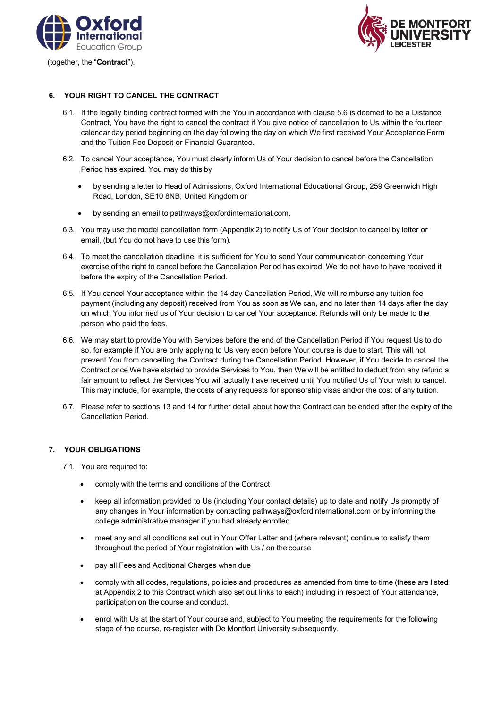

(together, the "**Contract**").



# **6. YOUR RIGHT TO CANCEL THE CONTRACT**

- 6.1. If the legally binding contract formed with the You in accordance with clause 5.6 is deemed to be a Distance Contract, You have the right to cancel the contract if You give notice of cancellation to Us within the fourteen calendar day period beginning on the day following the day on which We first received Your Acceptance Form and the Tuition Fee Deposit or Financial Guarantee.
- 6.2. To cancel Your acceptance, You must clearly inform Us of Your decision to cancel before the Cancellation Period has expired. You may do this by
	- by sending a letter to Head of Admissions, Oxford International Educational Group, 259 Greenwich High Road, London, SE10 8NB, United Kingdom or
	- by sending an email to [pathways@oxfordinternational.com.](mailto:pathways@oxfordinternational.com)
- 6.3. You may use the model cancellation form (Appendix 2) to notify Us of Your decision to cancel by letter or email, (but You do not have to use this form).
- 6.4. To meet the cancellation deadline, it is sufficient for You to send Your communication concerning Your exercise of the right to cancel before the Cancellation Period has expired. We do not have to have received it before the expiry of the Cancellation Period.
- 6.5. If You cancel Your acceptance within the 14 day Cancellation Period, We will reimburse any tuition fee payment (including any deposit) received from You as soon as We can, and no later than 14 days after the day on which You informed us of Your decision to cancel Your acceptance. Refunds will only be made to the person who paid the fees.
- 6.6. We may start to provide You with Services before the end of the Cancellation Period if You request Us to do so, for example if You are only applying to Us very soon before Your course is due to start. This will not prevent You from cancelling the Contract during the Cancellation Period. However, if You decide to cancel the Contract once We have started to provide Services to You, then We will be entitled to deduct from any refund a fair amount to reflect the Services You will actually have received until You notified Us of Your wish to cancel. This may include, for example, the costs of any requests for sponsorship visas and/or the cost of any tuition.
- 6.7. Please refer to sections 13 and 14 for further detail about how the Contract can be ended after the expiry of the Cancellation Period.

# **7. YOUR OBLIGATIONS**

7.1. You are required to:

- comply with the terms and conditions of the Contract
- keep all information provided to Us (including Your contact details) up to date and notify Us promptly of any changes in Your information by contactin[g pathways@oxfordinternational.com o](mailto:pathways@oxfordinternational.com)r by informing the college administrative manager if you had already enrolled
- meet any and all conditions set out in Your Offer Letter and (where relevant) continue to satisfy them throughout the period of Your registration with Us / on the course
- pay all Fees and Additional Charges when due
- comply with all codes, regulations, policies and procedures as amended from time to time (these are listed at Appendix 2 to this Contract which also set out links to each) including in respect of Your attendance, participation on the course and conduct.
- enrol with Us at the start of Your course and, subject to You meeting the requirements for the following stage of the course, re-register with De Montfort University subsequently.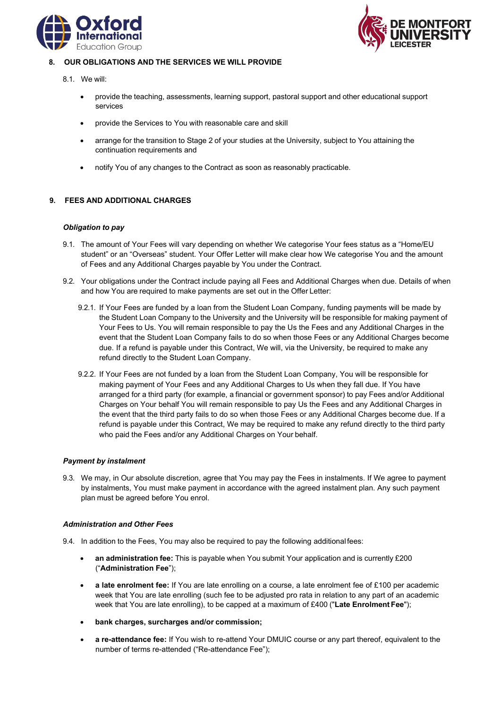



## **8. OUR OBLIGATIONS AND THE SERVICES WE WILL PROVIDE**

- 8.1. We will:
	- provide the teaching, assessments, learning support, pastoral support and other educational support services
	- provide the Services to You with reasonable care and skill
	- arrange for the transition to Stage 2 of your studies at the University, subject to You attaining the continuation requirements and
	- notify You of any changes to the Contract as soon as reasonably practicable.

# **9. FEES AND ADDITIONAL CHARGES**

### *Obligation to pay*

- 9.1. The amount of Your Fees will vary depending on whether We categorise Your fees status as a "Home/EU student" or an "Overseas" student. Your Offer Letter will make clear how We categorise You and the amount of Fees and any Additional Charges payable by You under the Contract.
- 9.2. Your obligations under the Contract include paying all Fees and Additional Charges when due. Details of when and how You are required to make payments are set out in the Offer Letter:
	- 9.2.1. If Your Fees are funded by a loan from the Student Loan Company, funding payments will be made by the Student Loan Company to the University and the University will be responsible for making payment of Your Fees to Us. You will remain responsible to pay the Us the Fees and any Additional Charges in the event that the Student Loan Company fails to do so when those Fees or any Additional Charges become due. If a refund is payable under this Contract, We will, via the University, be required to make any refund directly to the Student Loan Company.
	- 9.2.2. If Your Fees are not funded by a loan from the Student Loan Company, You will be responsible for making payment of Your Fees and any Additional Charges to Us when they fall due. If You have arranged for a third party (for example, a financial or government sponsor) to pay Fees and/or Additional Charges on Your behalf You will remain responsible to pay Us the Fees and any Additional Charges in the event that the third party fails to do so when those Fees or any Additional Charges become due. If a refund is payable under this Contract, We may be required to make any refund directly to the third party who paid the Fees and/or any Additional Charges on Your behalf.

#### *Payment by instalment*

9.3. We may, in Our absolute discretion, agree that You may pay the Fees in instalments. If We agree to payment by instalments, You must make payment in accordance with the agreed instalment plan. Any such payment plan must be agreed before You enrol.

#### *Administration and Other Fees*

- 9.4. In addition to the Fees, You may also be required to pay the following additional fees:
	- **an administration fee:** This is payable when You submit Your application and is currently £200 ("**Administration Fee**");
	- **a late enrolment fee:** If You are late enrolling on a course, a late enrolment fee of £100 per academic week that You are late enrolling (such fee to be adjusted pro rata in relation to any part of an academic week that You are late enrolling), to be capped at a maximum of £400 ("**Late Enrolment Fee**");
	- **bank charges, surcharges and/or commission;**
	- **a re-attendance fee:** If You wish to re-attend Your DMUIC course or any part thereof, equivalent to the number of terms re-attended ("Re-attendance Fee");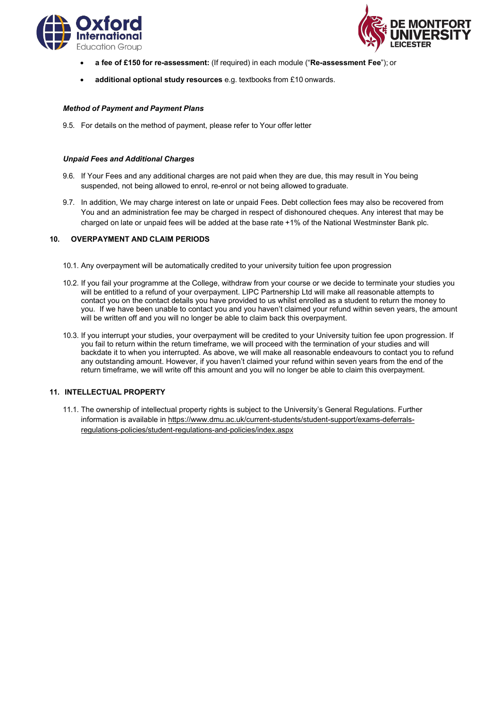



- **a fee of £150 for re-assessment:** (If required) in each module ("**Re-assessment Fee**"); or
- **additional optional study resources** e.g. textbooks from £10 onwards.

## *Method of Payment and Payment Plans*

9.5. For details on the method of payment, please refer to Your offer letter

### *Unpaid Fees and Additional Charges*

- 9.6. If Your Fees and any additional charges are not paid when they are due, this may result in You being suspended, not being allowed to enrol, re-enrol or not being allowed to graduate.
- 9.7. In addition, We may charge interest on late or unpaid Fees. Debt collection fees may also be recovered from You and an administration fee may be charged in respect of dishonoured cheques. Any interest that may be charged on late or unpaid fees will be added at the base rate +1% of the National Westminster Bank plc.

### **10. OVERPAYMENT AND CLAIM PERIODS**

- 10.1. Any overpayment will be automatically credited to your university tuition fee upon progression
- 10.2. If you fail your programme at the College, withdraw from your course or we decide to terminate your studies you will be entitled to a refund of your overpayment. LIPC Partnership Ltd will make all reasonable attempts to contact you on the contact details you have provided to us whilst enrolled as a student to return the money to you. If we have been unable to contact you and you haven't claimed your refund within seven years, the amount will be written off and you will no longer be able to claim back this overpayment.
- 10.3. If you interrupt your studies, your overpayment will be credited to your University tuition fee upon progression. If you fail to return within the return timeframe, we will proceed with the termination of your studies and will backdate it to when you interrupted. As above, we will make all reasonable endeavours to contact you to refund any outstanding amount. However, if you haven't claimed your refund within seven years from the end of the return timeframe, we will write off this amount and you will no longer be able to claim this overpayment.

# **11. INTELLECTUAL PROPERTY**

11.1. The ownership of intellectual property rights is subject to the University's General Regulations. Further information is available in [https://www.dmu.ac.uk/current-students/student-support/exams-deferrals](https://www.dmu.ac.uk/current-students/student-support/exams-deferrals-regulations-policies/student-regulations-and-policies/index.aspx)[regulations-policies/student-regulations-and-policies/index.aspx](https://www.dmu.ac.uk/current-students/student-support/exams-deferrals-regulations-policies/student-regulations-and-policies/index.aspx)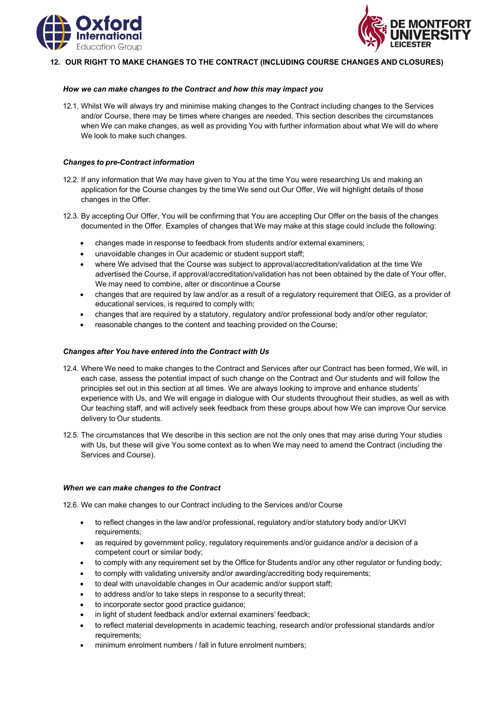



## **12. OUR RIGHT TO MAKE CHANGES TO THE CONTRACT (INCLUDING COURSE CHANGES AND CLOSURES)**

#### *How we can make changes to the Contract and how this may impact you*

12.1. Whilst We will always try and minimise making changes to the Contract including changes to the Services and/or Course, there may be times where changes are needed. This section describes the circumstances when We can make changes, as well as providing You with further information about what We will do where We look to make such changes.

#### *Changes to pre-Contract information*

- 12.2. If any information that We may have given to You at the time You were researching Us and making an application for the Course changes by the time We send out Our Offer, We will highlight details of those changes in the Offer.
- 12.3. By accepting Our Offer, You will be confirming that You are accepting Our Offer on the basis of the changes documented in the Offer. Examples of changes that We may make at this stage could include the following:
	- changes made in response to feedback from students and/or external examiners;
	- unavoidable changes in Our academic or student support staff;
	- where We advised that the Course was subject to approval/accreditation/validation at the time We advertised the Course, if approval/accreditation/validation has not been obtained by the date of Your offer, We may need to combine, alter or discontinue a Course
	- changes that are required by law and/or as a result of a regulatory requirement that OIEG, as a provider of educational services, is required to comply with;
	- changes that are required by a statutory, regulatory and/or professional body and/or other regulator;
	- reasonable changes to the content and teaching provided on the Course;

#### *Changes after You have entered into the Contract with Us*

- 12.4. Where We need to make changes to the Contract and Services after our Contract has been formed, We will, in each case, assess the potential impact of such change on the Contract and Our students and will follow the principles set out in this section at all times. We are always looking to improve and enhance students' experience with Us, and We will engage in dialogue with Our students throughout their studies, as well as with Our teaching staff, and will actively seek feedback from these groups about how We can improve Our service delivery to Our students.
- 12.5. The circumstances that We describe in this section are not the only ones that may arise during Your studies with Us, but these will give You some context as to when We may need to amend the Contract (including the Services and Course).

#### *When we can make changes to the Contract*

12.6. We can make changes to our Contract including to the Services and/or Course

- to reflect changes in the law and/or professional, regulatory and/or statutory body and/or UKVI requirements;
- as required by government policy, regulatory requirements and/or guidance and/or a decision of a competent court or similar body;
- to comply with any requirement set by the Office for Students and/or any other regulator or funding body;
- to comply with validating university and/or awarding/accrediting body requirements;
- to deal with unavoidable changes in Our academic and/or support staff;
- to address and/or to take steps in response to a security threat;
- to incorporate sector good practice guidance;
- in light of student feedback and/or external examiners' feedback;
- to reflect material developments in academic teaching, research and/or professional standards and/or requirements;
- minimum enrolment numbers / fall in future enrolment numbers;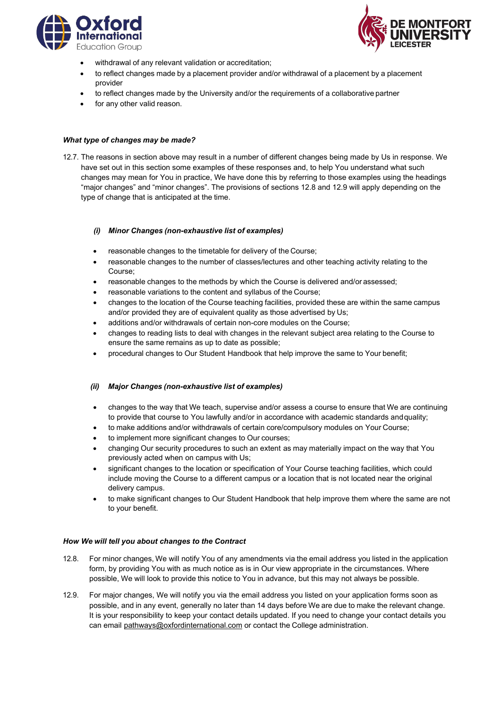



- withdrawal of any relevant validation or accreditation;
- to reflect changes made by a placement provider and/or withdrawal of a placement by a placement provider
- to reflect changes made by the University and/or the requirements of a collaborative partner
- for any other valid reason.

### *What type of changes may be made?*

12.7. The reasons in section above may result in a number of different changes being made by Us in response. We have set out in this section some examples of these responses and, to help You understand what such changes may mean for You in practice, We have done this by referring to those examples using the headings "major changes" and "minor changes". The provisions of sections 12.8 and 12.9 will apply depending on the type of change that is anticipated at the time.

### *(i) Minor Changes (non-exhaustive list of examples)*

- reasonable changes to the timetable for delivery of the Course;
- reasonable changes to the number of classes/lectures and other teaching activity relating to the Course;
- reasonable changes to the methods by which the Course is delivered and/or assessed;
- reasonable variations to the content and syllabus of the Course;
- changes to the location of the Course teaching facilities, provided these are within the same campus and/or provided they are of equivalent quality as those advertised by Us;
- additions and/or withdrawals of certain non-core modules on the Course;
- changes to reading lists to deal with changes in the relevant subject area relating to the Course to ensure the same remains as up to date as possible;
- procedural changes to Our Student Handbook that help improve the same to Your benefit;

# *(ii) Major Changes (non-exhaustive list of examples)*

- changes to the way that We teach, supervise and/or assess a course to ensure that We are continuing to provide that course to You lawfully and/or in accordance with academic standards andquality;
- to make additions and/or withdrawals of certain core/compulsory modules on Your Course;
- to implement more significant changes to Our courses;
- changing Our security procedures to such an extent as may materially impact on the way that You previously acted when on campus with Us;
- significant changes to the location or specification of Your Course teaching facilities, which could include moving the Course to a different campus or a location that is not located near the original delivery campus.
- to make significant changes to Our Student Handbook that help improve them where the same are not to your benefit.

#### *How We will tell you about changes to the Contract*

- 12.8. For minor changes, We will notify You of any amendments via the email address you listed in the application form, by providing You with as much notice as is in Our view appropriate in the circumstances. Where possible, We will look to provide this notice to You in advance, but this may not always be possible.
- 12.9. For major changes, We will notify you via the email address you listed on your application forms soon as possible, and in any event, generally no later than 14 days before We are due to make the relevant change. It is your responsibility to keep your contact details updated. If you need to change your contact details you can email [pathways@oxfordinternational.com](mailto:pathways@oxfordinternational.com) or contact the College administration.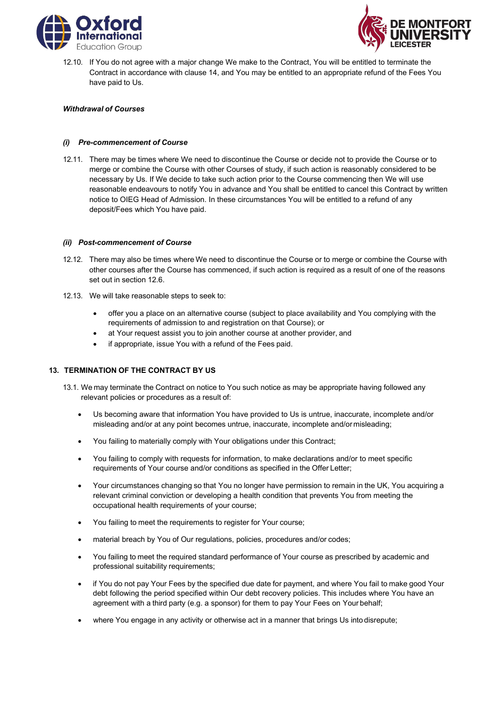



12.10. If You do not agree with a major change We make to the Contract, You will be entitled to terminate the Contract in accordance with clause 14, and You may be entitled to an appropriate refund of the Fees You have paid to Us.

### *Withdrawal of Courses*

### *(i) Pre-commencement of Course*

12.11. There may be times where We need to discontinue the Course or decide not to provide the Course or to merge or combine the Course with other Courses of study, if such action is reasonably considered to be necessary by Us. If We decide to take such action prior to the Course commencing then We will use reasonable endeavours to notify You in advance and You shall be entitled to cancel this Contract by written notice to OIEG Head of Admission. In these circumstances You will be entitled to a refund of any deposit/Fees which You have paid.

### *(ii) Post-commencement of Course*

- 12.12. There may also be times where We need to discontinue the Course or to merge or combine the Course with other courses after the Course has commenced, if such action is required as a result of one of the reasons set out in section 12.6.
- 12.13. We will take reasonable steps to seek to:
	- offer you a place on an alternative course (subject to place availability and You complying with the requirements of admission to and registration on that Course); or
	- at Your request assist you to join another course at another provider, and
	- if appropriate, issue You with a refund of the Fees paid.

# **13. TERMINATION OF THE CONTRACT BY US**

- 13.1. We may terminate the Contract on notice to You such notice as may be appropriate having followed any relevant policies or procedures as a result of:
	- Us becoming aware that information You have provided to Us is untrue, inaccurate, incomplete and/or misleading and/or at any point becomes untrue, inaccurate, incomplete and/or misleading;
	- You failing to materially comply with Your obligations under this Contract;
	- You failing to comply with requests for information, to make declarations and/or to meet specific requirements of Your course and/or conditions as specified in the Offer Letter;
	- Your circumstances changing so that You no longer have permission to remain in the UK, You acquiring a relevant criminal conviction or developing a health condition that prevents You from meeting the occupational health requirements of your course;
	- You failing to meet the requirements to register for Your course;
	- material breach by You of Our regulations, policies, procedures and/or codes;
	- You failing to meet the required standard performance of Your course as prescribed by academic and professional suitability requirements;
	- if You do not pay Your Fees by the specified due date for payment, and where You fail to make good Your debt following the period specified within Our debt recovery policies. This includes where You have an agreement with a third party (e.g. a sponsor) for them to pay Your Fees on Your behalf;
	- where You engage in any activity or otherwise act in a manner that brings Us into disrepute;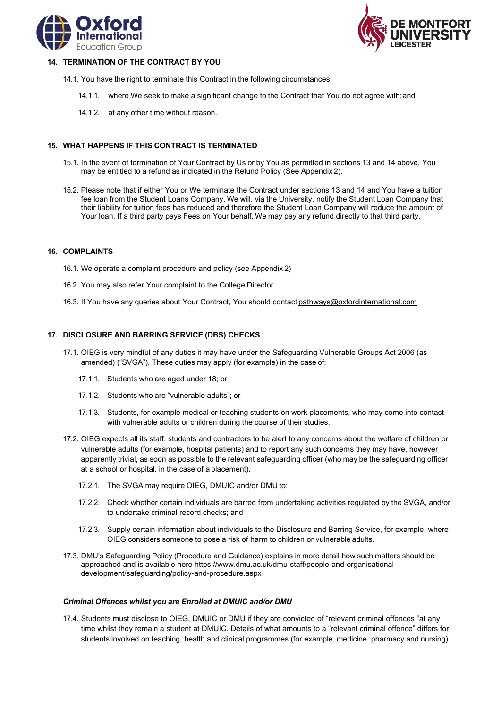



### **14. TERMINATION OF THE CONTRACT BY YOU**

- 14.1. You have the right to terminate this Contract in the following circumstances:
	- 14.1.1. where We seek to make a significant change to the Contract that You do not agree with;and
	- 14.1.2. at any other time without reason.

#### **15. WHAT HAPPENS IF THIS CONTRACT IS TERMINATED**

- 15.1. In the event of termination of Your Contract by Us or by You as permitted in sections 13 and 14 above, You may be entitled to a refund as indicated in the Refund Policy (See Appendix 2).
- 15.2. Please note that if either You or We terminate the Contract under sections 13 and 14 and You have a tuition fee loan from the Student Loans Company, We will, via the University, notify the Student Loan Company that their liability for tuition fees has reduced and therefore the Student Loan Company will reduce the amount of Your loan. If a third party pays Fees on Your behalf, We may pay any refund directly to that third party.

#### **16. COMPLAINTS**

- 16.1. We operate a complaint procedure and policy (see Appendix 2)
- 16.2. You may also refer Your complaint to the College Director.
- 16.3. If You have any queries about Your Contract, You should contact [pathways@oxfordinternational.com](mailto:pathways@oxfordinternational.com)

#### **17. DISCLOSURE AND BARRING SERVICE (DBS) CHECKS**

- 17.1. OIEG is very mindful of any duties it may have under the Safeguarding Vulnerable Groups Act 2006 (as amended) ("SVGA"). These duties may apply (for example) in the case of:
	- 17.1.1. Students who are aged under 18; or
	- 17.1.2. Students who are "vulnerable adults"; or
	- 17.1.3. Students, for example medical or teaching students on work placements, who may come into contact with vulnerable adults or children during the course of their studies.
- 17.2. OIEG expects all its staff, students and contractors to be alert to any concerns about the welfare of children or vulnerable adults (for example, hospital patients) and to report any such concerns they may have, however apparently trivial, as soon as possible to the relevant safeguarding officer (who may be the safeguarding officer at a school or hospital, in the case of a placement).
	- 17.2.1. The SVGA may require OIEG, DMUIC and/or DMU to:
	- 17.2.2. Check whether certain individuals are barred from undertaking activities regulated by the SVGA, and/or to undertake criminal record checks; and
	- 17.2.3. Supply certain information about individuals to the Disclosure and Barring Service, for example, where OIEG considers someone to pose a risk of harm to children or vulnerable adults.
- 17.3. DMU's Safeguarding Policy (Procedure and Guidance) explains in more detail how such matters should be approached and is available [here](http://www.dmu.ac.uk/documents/dmu-staff/pod/safeguarding/dmu-safeguarding-policy.pdf) [https://www.dmu.ac.uk/dmu-staff/people-and-organisational](https://www.dmu.ac.uk/dmu-staff/people-and-organisational-development/safeguarding/policy-and-procedure.aspx)[development/safeguarding/policy-and-procedure.aspx](https://www.dmu.ac.uk/dmu-staff/people-and-organisational-development/safeguarding/policy-and-procedure.aspx)

#### *Criminal Offences whilst you are Enrolled at DMUIC and/or DMU*

17.4. Students must disclose to OIEG, DMUIC or DMU if they are convicted of "relevant criminal offences "at any time whilst they remain a student at DMUIC. Details of what amounts to a "relevant criminal offence" differs for students involved on teaching, health and clinical programmes (for example, medicine, pharmacy and nursing).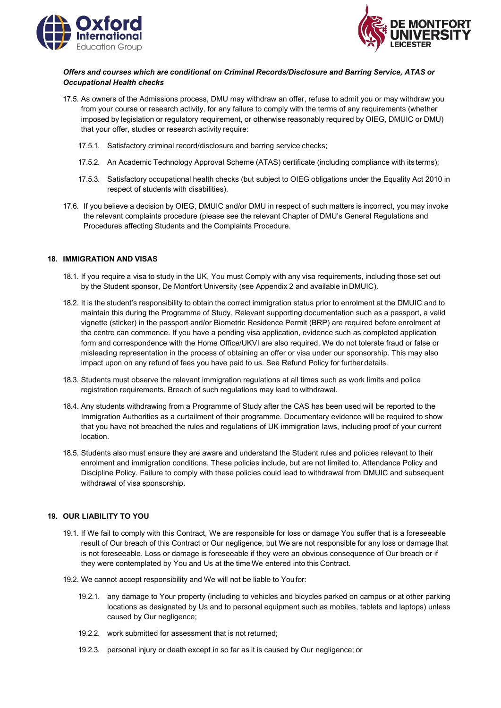



# *Offers and courses which are conditional on Criminal Records/Disclosure and Barring Service, ATAS or Occupational Health checks*

- 17.5. As owners of the Admissions process, DMU may withdraw an offer, refuse to admit you or may withdraw you from your course or research activity, for any failure to comply with the terms of any requirements (whether imposed by legislation or regulatory requirement, or otherwise reasonably required by OIEG, DMUIC or DMU) that your offer, studies or research activity require:
	- 17.5.1. Satisfactory criminal record/disclosure and barring service checks;
	- 17.5.2. An Academic Technology Approval Scheme (ATAS) certificate (including compliance with its terms);
	- 17.5.3. Satisfactory occupational health checks (but subject to OIEG obligations under the Equality Act 2010 in respect of students with disabilities).
- 17.6. If you believe a decision by OIEG, DMUIC and/or DMU in respect of such matters is incorrect, you may invoke the relevant complaints procedure (please see the relevant Chapter of DMU's General Regulations and Procedures affecting Students and the Complaints Procedure.

### **18. IMMIGRATION AND VISAS**

- 18.1. If you require a visa to study in the UK, You must Comply with any visa requirements, including those set out by the Student sponsor, De Montfort University (see Appendix 2 and available inDMUIC).
- 18.2. It is the student's responsibility to obtain the correct immigration status prior to enrolment at the DMUIC and to maintain this during the Programme of Study. Relevant supporting documentation such as a passport, a valid vignette (sticker) in the passport and/or Biometric Residence Permit (BRP) are required before enrolment at the centre can commence. If you have a pending visa application, evidence such as completed application form and correspondence with the Home Office/UKVI are also required. We do not tolerate fraud or false or misleading representation in the process of obtaining an offer or visa under our sponsorship. This may also impact upon on any refund of fees you have paid to us. See Refund Policy for furtherdetails.
- 18.3. Students must observe the relevant immigration regulations at all times such as work limits and police registration requirements. Breach of such regulations may lead to withdrawal.
- 18.4. Any students withdrawing from a Programme of Study after the CAS has been used will be reported to the Immigration Authorities as a curtailment of their programme. Documentary evidence will be required to show that you have not breached the rules and regulations of UK immigration laws, including proof of your current location.
- 18.5. Students also must ensure they are aware and understand the Student rules and policies relevant to their enrolment and immigration conditions. These policies include, but are not limited to, Attendance Policy and Discipline Policy. Failure to comply with these policies could lead to withdrawal from DMUIC and subsequent withdrawal of visa sponsorship.

# **19. OUR LIABILITY TO YOU**

- 19.1. If We fail to comply with this Contract, We are responsible for loss or damage You suffer that is a foreseeable result of Our breach of this Contract or Our negligence, but We are not responsible for any loss or damage that is not foreseeable. Loss or damage is foreseeable if they were an obvious consequence of Our breach or if they were contemplated by You and Us at the time We entered into this Contract.
- 19.2. We cannot accept responsibility and We will not be liable to Youfor:
	- 19.2.1. any damage to Your property (including to vehicles and bicycles parked on campus or at other parking locations as designated by Us and to personal equipment such as mobiles, tablets and laptops) unless caused by Our negligence;
	- 19.2.2. work submitted for assessment that is not returned;
	- 19.2.3. personal injury or death except in so far as it is caused by Our negligence; or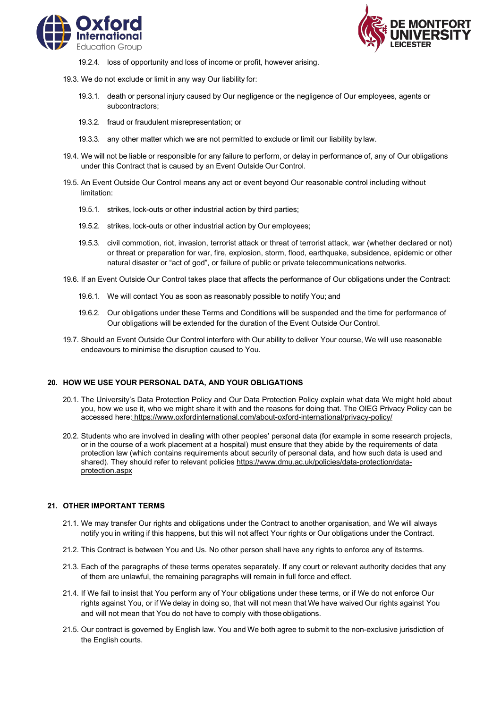



- 19.2.4. loss of opportunity and loss of income or profit, however arising.
- 19.3. We do not exclude or limit in any way Our liability for:
	- 19.3.1. death or personal injury caused by Our negligence or the negligence of Our employees, agents or subcontractors;
	- 19.3.2. fraud or fraudulent misrepresentation; or
	- 19.3.3. any other matter which we are not permitted to exclude or limit our liability by law.
- 19.4. We will not be liable or responsible for any failure to perform, or delay in performance of, any of Our obligations under this Contract that is caused by an Event Outside Our Control.
- 19.5. An Event Outside Our Control means any act or event beyond Our reasonable control including without limitation:
	- 19.5.1. strikes, lock-outs or other industrial action by third parties;
	- 19.5.2. strikes, lock-outs or other industrial action by Our employees;
	- 19.5.3. civil commotion, riot, invasion, terrorist attack or threat of terrorist attack, war (whether declared or not) or threat or preparation for war, fire, explosion, storm, flood, earthquake, subsidence, epidemic or other natural disaster or "act of god", or failure of public or private telecommunications networks.
- 19.6. If an Event Outside Our Control takes place that affects the performance of Our obligations under the Contract:
	- 19.6.1. We will contact You as soon as reasonably possible to notify You; and
	- 19.6.2. Our obligations under these Terms and Conditions will be suspended and the time for performance of Our obligations will be extended for the duration of the Event Outside Our Control.
- 19.7. Should an Event Outside Our Control interfere with Our ability to deliver Your course, We will use reasonable endeavours to minimise the disruption caused to You.

#### **20. HOW WE USE YOUR PERSONAL DATA, AND YOUR OBLIGATIONS**

- 20.1. The University's Data Protection Policy and Our Data Protection Policy explain what data We might hold about you, how we use it, who we might share it with and the reasons for doing that. The OIEG Privacy Policy can be accessed here: <https://www.oxfordinternational.com/about-oxford-international/privacy-policy/>
- 20.2. Students who are involved in dealing with other peoples' personal data (for example in some research projects, or in the course of a work placement at a hospital) must ensure that they abide by the requirements of data protection law (which contains requirements about security of personal data, and how such data is used and shared). They should refer to relevant policie[s https://www.dmu.ac.uk/policies/data-protection/data](https://www.dmu.ac.uk/policies/data-protection/data-protection.aspx)[protection.aspx](https://www.dmu.ac.uk/policies/data-protection/data-protection.aspx)

### **21. OTHER IMPORTANT TERMS**

- 21.1. We may transfer Our rights and obligations under the Contract to another organisation, and We will always notify you in writing if this happens, but this will not affect Your rights or Our obligations under the Contract.
- 21.2. This Contract is between You and Us. No other person shall have any rights to enforce any of its terms.
- 21.3. Each of the paragraphs of these terms operates separately. If any court or relevant authority decides that any of them are unlawful, the remaining paragraphs will remain in full force and effect.
- 21.4. If We fail to insist that You perform any of Your obligations under these terms, or if We do not enforce Our rights against You, or if We delay in doing so, that will not mean that We have waived Our rights against You and will not mean that You do not have to comply with those obligations.
- 21.5. Our contract is governed by English law. You and We both agree to submit to the non-exclusive jurisdiction of the English courts.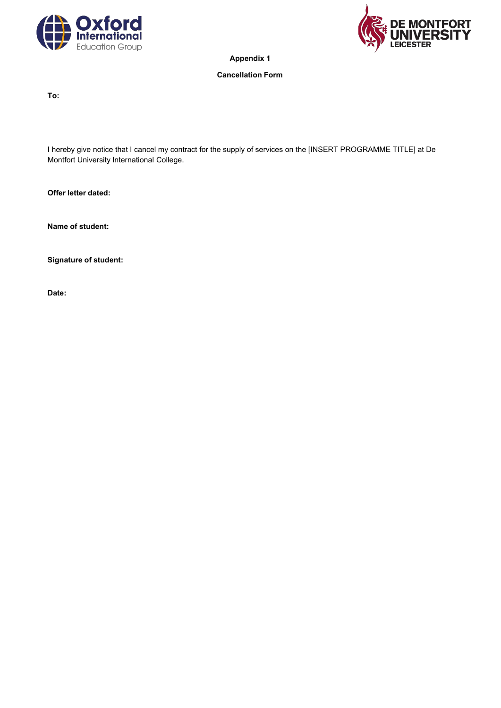



**Appendix 1**

## **Cancellation Form**

**To:**

I hereby give notice that I cancel my contract for the supply of services on the [INSERT PROGRAMME TITLE] at De Montfort University International College.

**Offer letter dated:**

**Name of student:**

**Signature of student:**

**Date:**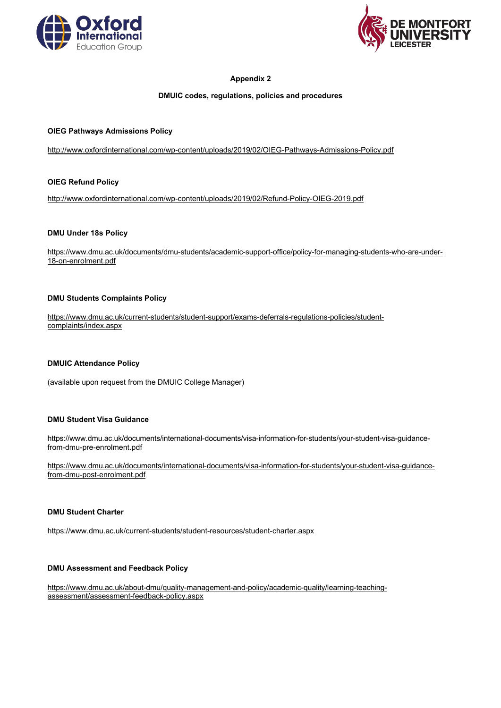



# **Appendix 2**

## **DMUIC codes, regulations, policies and procedures**

## **OIEG Pathways Admissions Policy**

<http://www.oxfordinternational.com/wp-content/uploads/2019/02/OIEG-Pathways-Admissions-Policy.pdf>

# **OIEG Refund Policy**

<http://www.oxfordinternational.com/wp-content/uploads/2019/02/Refund-Policy-OIEG-2019.pdf>

#### **DMU Under 18s Policy**

[https://www.dmu.ac.uk/documents/dmu-students/academic-support-office/policy-for-managing-students-who-are-under-](https://www.dmu.ac.uk/documents/dmu-students/academic-support-office/policy-for-managing-students-who-are-under-18-on-enrolment.pdf)[18-on-enrolment.pdf](https://www.dmu.ac.uk/documents/dmu-students/academic-support-office/policy-for-managing-students-who-are-under-18-on-enrolment.pdf)

#### **DMU Students Complaints Policy**

[https://www.dmu.ac.uk/current-students/student-support/exams-deferrals-regulations-policies/student](https://www.dmu.ac.uk/current-students/student-support/exams-deferrals-regulations-policies/student-complaints/index.aspx)[complaints/index.aspx](https://www.dmu.ac.uk/current-students/student-support/exams-deferrals-regulations-policies/student-complaints/index.aspx)

#### **DMUIC Attendance Policy**

(available upon request from the DMUIC College Manager)

#### **DMU Student Visa Guidance**

[https://www.dmu.ac.uk/documents/international-documents/visa-information-for-students/your-student-visa-guidance](https://www.dmu.ac.uk/documents/international-documents/visa-information-for-students/your-student-visa-guidance-from-dmu-pre-enrolment.pdf)[from-dmu-pre-enrolment.pdf](https://www.dmu.ac.uk/documents/international-documents/visa-information-for-students/your-student-visa-guidance-from-dmu-pre-enrolment.pdf)

[https://www.dmu.ac.uk/documents/international-documents/visa-information-for-students/your-student-visa-guidance](https://www.dmu.ac.uk/documents/international-documents/visa-information-for-students/your-student-visa-guidance-from-dmu-post-enrolment.pdf)[from-dmu-post-enrolment.pdf](https://www.dmu.ac.uk/documents/international-documents/visa-information-for-students/your-student-visa-guidance-from-dmu-post-enrolment.pdf)

#### **DMU Student Charter**

<https://www.dmu.ac.uk/current-students/student-resources/student-charter.aspx>

#### **DMU Assessment and Feedback Policy**

[https://www.dmu.ac.uk/about-dmu/quality-management-and-policy/academic-quality/learning-teaching](https://www.dmu.ac.uk/about-dmu/quality-management-and-policy/academic-quality/learning-teaching-assessment/assessment-feedback-policy.aspx)[assessment/assessment-feedback-policy.aspx](https://www.dmu.ac.uk/about-dmu/quality-management-and-policy/academic-quality/learning-teaching-assessment/assessment-feedback-policy.aspx)